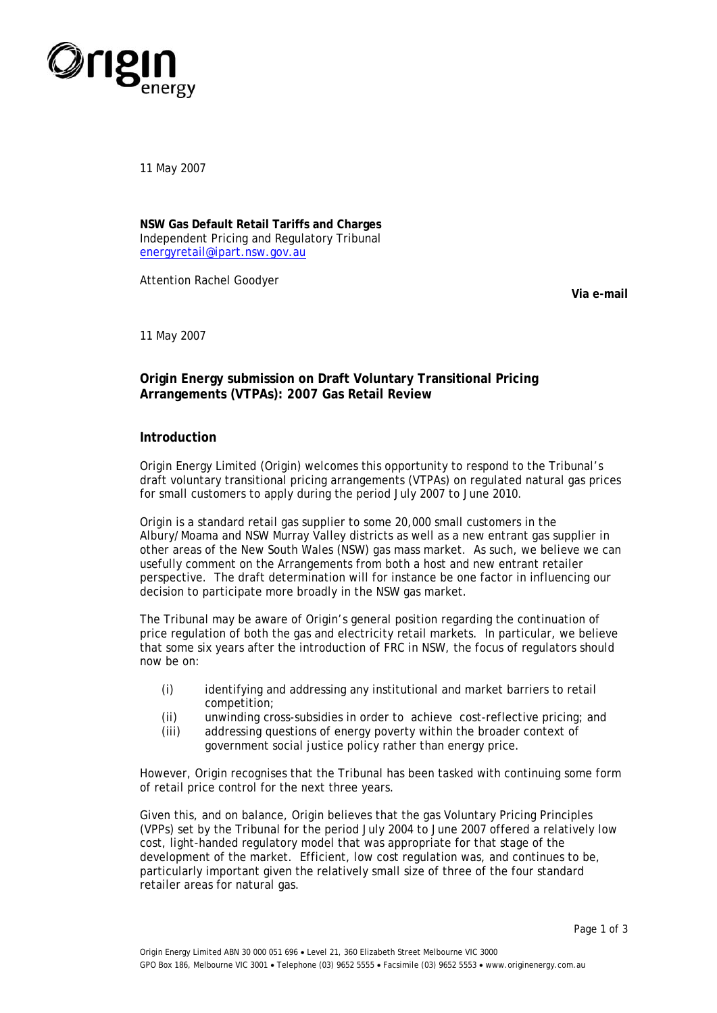

11 May 2007

**NSW Gas Default Retail Tariffs and Charges**  Independent Pricing and Regulatory Tribunal [energyretail@ipart.nsw.gov.au](mailto:energyretail@ipart.nsw.gov.au)

Attention Rachel Goodyer

**Via e-mail** 

11 May 2007

## **Origin Energy submission on Draft Voluntary Transitional Pricing Arrangements (VTPAs): 2007 Gas Retail Review**

## **Introduction**

Origin Energy Limited (Origin) welcomes this opportunity to respond to the Tribunal's draft voluntary transitional pricing arrangements (VTPAs) on regulated natural gas prices for small customers to apply during the period July 2007 to June 2010.

Origin is a standard retail gas supplier to some 20,000 small customers in the Albury/Moama and NSW Murray Valley districts as well as a new entrant gas supplier in other areas of the New South Wales (NSW) gas mass market. As such, we believe we can usefully comment on the Arrangements from both a host and new entrant retailer perspective. The draft determination will for instance be one factor in influencing our decision to participate more broadly in the NSW gas market.

The Tribunal may be aware of Origin's general position regarding the continuation of price regulation of both the gas and electricity retail markets. In particular, we believe that some six years after the introduction of FRC in NSW, the focus of regulators should now be on:

- (i) identifying and addressing any institutional and market barriers to retail competition;
- (ii) unwinding cross-subsidies in order to achieve cost-reflective pricing; and
- (iii) addressing questions of energy poverty within the broader context of government social justice policy rather than energy price.

However, Origin recognises that the Tribunal has been tasked with continuing some form of retail price control for the next three years.

Given this, and on balance, Origin believes that the gas Voluntary Pricing Principles (VPPs) set by the Tribunal for the period July 2004 to June 2007 offered a relatively low cost, light-handed regulatory model that was appropriate for that stage of the development of the market. Efficient, low cost regulation was, and continues to be, particularly important given the relatively small size of three of the four standard retailer areas for natural gas.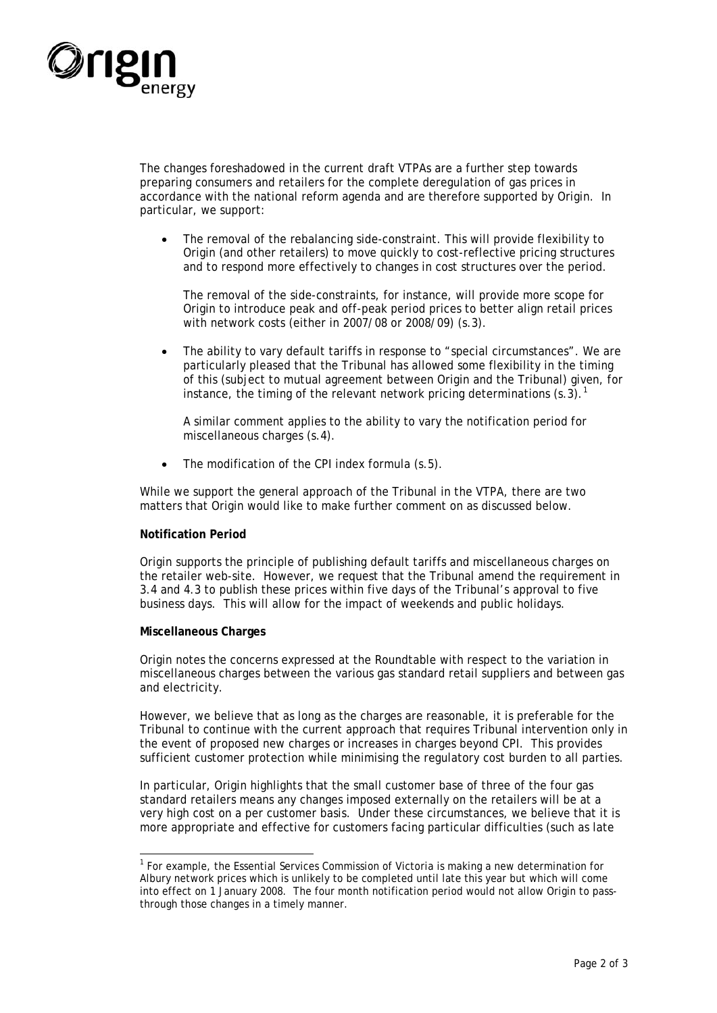

The changes foreshadowed in the current draft VTPAs are a further step towards preparing consumers and retailers for the complete deregulation of gas prices in accordance with the national reform agenda and are therefore supported by Origin. In particular, we support:

• The removal of the rebalancing side-constraint. This will provide flexibility to Origin (and other retailers) to move quickly to cost-reflective pricing structures and to respond more effectively to changes in cost structures over the period.

The removal of the side-constraints, for instance, will provide more scope for Origin to introduce peak and off-peak period prices to better align retail prices with network costs (either in 2007/08 or 2008/09) (s.3).

The ability to vary default tariffs in response to "special circumstances". We are particularly pleased that the Tribunal has allowed some flexibility in the timing of this (subject to mutual agreement between Origin and the Tribunal) given, for instance, the timing of the relevant network pricing determinations  $(s.\overline{3})$ .<sup>[1](#page-1-0)</sup>

A similar comment applies to the ability to vary the notification period for miscellaneous charges (s.4).

• The modification of the CPI index formula (s.5).

While we support the general approach of the Tribunal in the VTPA, there are two matters that Origin would like to make further comment on as discussed below.

## **Notification Period**

Origin supports the principle of publishing default tariffs and miscellaneous charges on the retailer web-site. However, we request that the Tribunal amend the requirement in 3.4 and 4.3 to publish these prices within five days of the Tribunal's approval to five business days. This will allow for the impact of weekends and public holidays.

## **Miscellaneous Charges**

Origin notes the concerns expressed at the Roundtable with respect to the variation in miscellaneous charges between the various gas standard retail suppliers and between gas and electricity.

However, we believe that as long as the charges are reasonable, it is preferable for the Tribunal to continue with the current approach that requires Tribunal intervention only in the event of proposed new charges or increases in charges beyond CPI. This provides sufficient customer protection while minimising the regulatory cost burden to all parties.

In particular, Origin highlights that the small customer base of three of the four gas standard retailers means any changes imposed externally on the retailers will be at a very high cost on a per customer basis. Under these circumstances, we believe that it is more appropriate and effective for customers facing particular difficulties (such as late

<span id="page-1-0"></span><sup>1</sup> <sup>1</sup> For example, the Essential Services Commission of Victoria is making a new determination for Albury network prices which is unlikely to be completed until late this year but which will come into effect on 1 January 2008. The four month notification period would not allow Origin to passthrough those changes in a timely manner.